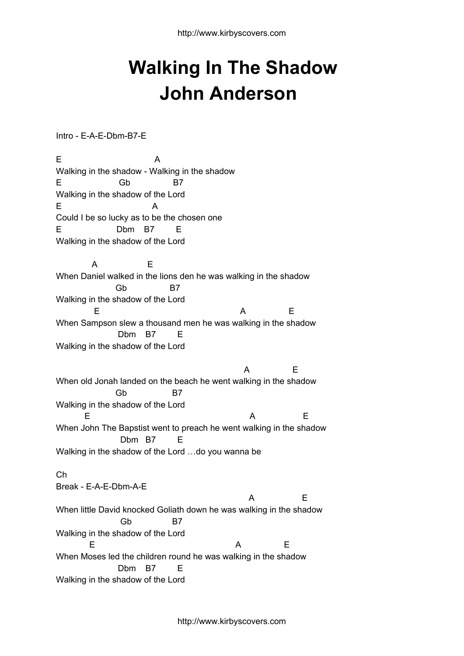## **Walking In The Shadow John Anderson**

Intro - E-A-E-Dbm-B7-E

E A Walking in the shadow - Walking in the shadow E Gb B7 Walking in the shadow of the Lord E A Could I be so lucky as to be the chosen one E Dbm B7 E Walking in the shadow of the Lord A E When Daniel walked in the lions den he was walking in the shadow Gb B7 Walking in the shadow of the Lord E A E When Sampson slew a thousand men he was walking in the shadow Dbm B7 E Walking in the shadow of the Lord A E When old Jonah landed on the beach he went walking in the shadow Gb B7 Walking in the shadow of the Lord E A E When John The Bapstist went to preach he went walking in the shadow Dbm B7 E Walking in the shadow of the Lord …do you wanna be Ch Break - E-A-E-Dbm-A-E A E When little David knocked Goliath down he was walking in the shadow Gb B7 Walking in the shadow of the Lord E A E When Moses led the children round he was walking in the shadow Dbm B7 E Walking in the shadow of the Lord